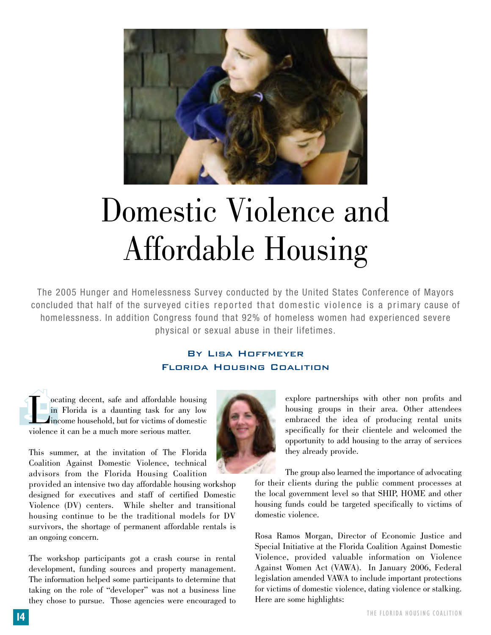

# Domestic Violence and Affordable Housing

The 2005 Hunger and Homelessness Survey conducted by the United States Conference of Mayors concluded that half of the surveyed cities reported that domestic violence is a primary cause of homelessness. In addition Congress found that 92% of homeless women had experienced severe physical or sexual abuse in their lifetimes.

### By Lisa Hoffmeyer Florida Housing Coalition

ocating decent, safe and affordable housing<br>in Florida is a daunting task for any low<br>income household, but for victims of domestic<br>violence it can be a much more serious matter in Florida is a daunting task for any low income household, but for victims of domestic violence it can be a much more serious matter.

This summer, at the invitation of The Florida Coalition Against Domestic Violence, technical advisors from the Florida Housing Coalition

provided an intensive two day affordable housing workshop designed for executives and staff of certified Domestic Violence (DV) centers. While shelter and transitional housing continue to be the traditional models for DV survivors, the shortage of permanent affordable rentals is an ongoing concern.

The workshop participants got a crash course in rental development, funding sources and property management. The information helped some participants to determine that taking on the role of "developer" was not a business line they chose to pursue. Those agencies were encouraged to



explore partnerships with other non profits and housing groups in their area. Other attendees embraced the idea of producing rental units specifically for their clientele and welcomed the opportunity to add housing to the array of services they already provide.

The group also learned the importance of advocating for their clients during the public comment processes at the local government level so that SHIP, HOME and other housing funds could be targeted specifically to victims of domestic violence.

Rosa Ramos Morgan, Director of Economic Justice and Special Initiative at the Florida Coalition Against Domestic Violence, provided valuable information on Violence Against Women Act (VAWA). In January 2006, Federal legislation amended VAWA to include important protections for victims of domestic violence, dating violence or stalking. Here are some highlights: